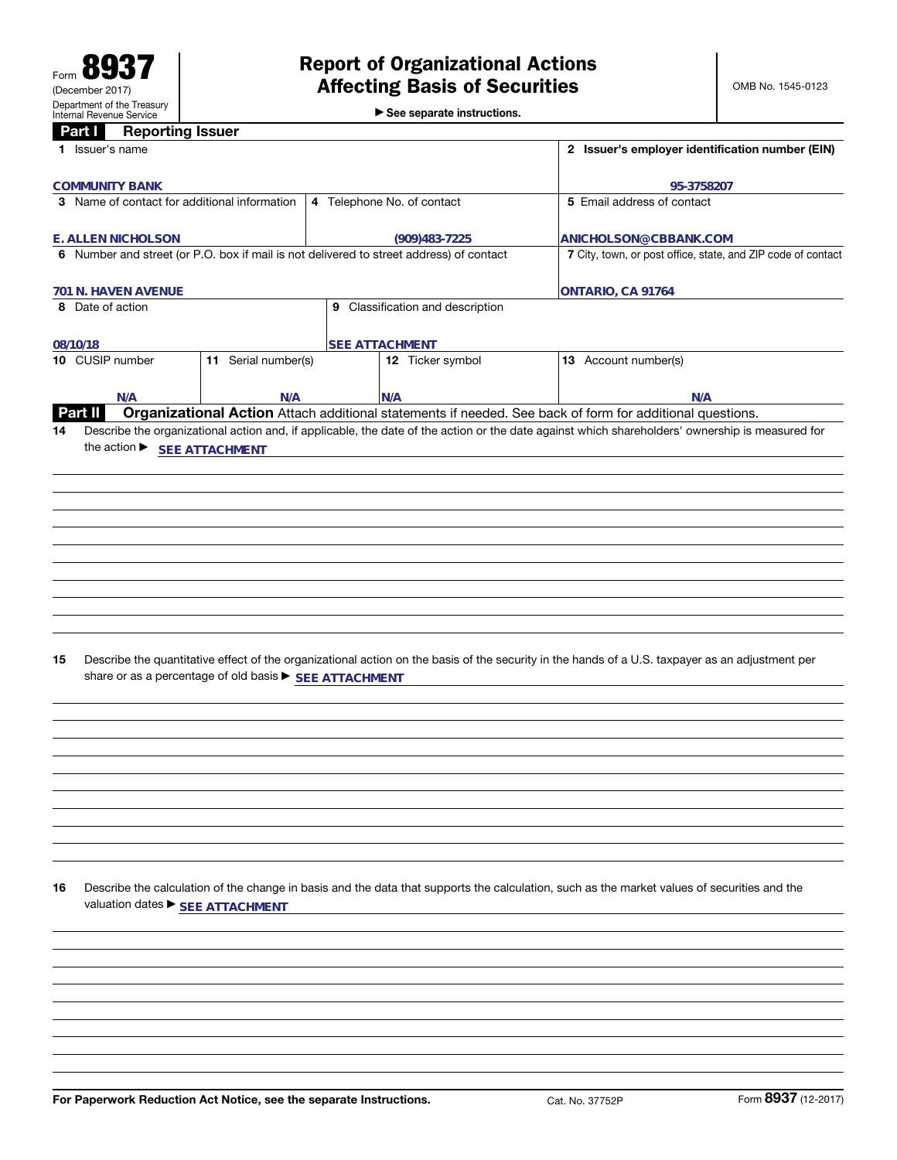►<br>► See separate instructions.

#### **Part I Reporting Issuer**

|    | a u<br><b>TIGhair and Issuer</b>             |                                                                                         |                                                              |                                                                                                                                                 |
|----|----------------------------------------------|-----------------------------------------------------------------------------------------|--------------------------------------------------------------|-------------------------------------------------------------------------------------------------------------------------------------------------|
|    | 1 Issuer's name                              |                                                                                         | 2 Issuer's employer identification number (EIN)              |                                                                                                                                                 |
|    | <b>COMMUNITY BANK</b>                        |                                                                                         |                                                              | 95-3758207                                                                                                                                      |
|    | 3 Name of contact for additional information |                                                                                         | 5 Email address of contact                                   |                                                                                                                                                 |
|    |                                              |                                                                                         | 4 Telephone No. of contact                                   |                                                                                                                                                 |
|    | E. ALLEN NICHOLSON                           |                                                                                         | $(909)483 - 7225$                                            | ANICHOLSON@CBBANK.COM                                                                                                                           |
|    |                                              | 6 Number and street (or P.O. box if mail is not delivered to street address) of contact | 7 City, town, or post office, state, and ZIP code of contact |                                                                                                                                                 |
|    |                                              |                                                                                         |                                                              |                                                                                                                                                 |
|    | 701 N. HAVEN AVENUE                          |                                                                                         |                                                              | ONTARIO, CA 91764                                                                                                                               |
|    | 8 Date of action                             |                                                                                         | 9 Classification and description                             |                                                                                                                                                 |
|    |                                              |                                                                                         |                                                              |                                                                                                                                                 |
|    | 08/10/18                                     |                                                                                         | <b>SEE ATTACHMENT</b>                                        |                                                                                                                                                 |
|    | 10 CUSIP number                              | 11 Serial number(s)                                                                     | 12 Ticker symbol                                             | 13 Account number(s)                                                                                                                            |
|    |                                              |                                                                                         |                                                              |                                                                                                                                                 |
|    | N/A                                          | N/A                                                                                     | N/A                                                          | N/A                                                                                                                                             |
|    | <b>Part II</b>                               |                                                                                         |                                                              | Organizational Action Attach additional statements if needed. See back of form for additional questions.                                        |
| 14 |                                              |                                                                                         |                                                              | Describe the organizational action and, if applicable, the date of the action or the date against which shareholders' ownership is measured for |
|    | the action ▶ SEE ATTACHMENT                  |                                                                                         |                                                              |                                                                                                                                                 |
|    |                                              |                                                                                         |                                                              |                                                                                                                                                 |
|    |                                              |                                                                                         |                                                              |                                                                                                                                                 |
|    |                                              |                                                                                         |                                                              |                                                                                                                                                 |
|    |                                              |                                                                                         |                                                              |                                                                                                                                                 |
|    |                                              |                                                                                         |                                                              |                                                                                                                                                 |
|    |                                              |                                                                                         |                                                              |                                                                                                                                                 |
|    |                                              |                                                                                         |                                                              |                                                                                                                                                 |
|    |                                              |                                                                                         |                                                              |                                                                                                                                                 |
|    |                                              |                                                                                         |                                                              |                                                                                                                                                 |
|    |                                              |                                                                                         |                                                              |                                                                                                                                                 |
|    |                                              |                                                                                         |                                                              |                                                                                                                                                 |
|    |                                              |                                                                                         |                                                              |                                                                                                                                                 |
|    |                                              |                                                                                         |                                                              |                                                                                                                                                 |
| 15 |                                              |                                                                                         |                                                              | Describe the quantitative effect of the organizational action on the basis of the security in the hands of a U.S. taxpayer as an adjustment per |
|    |                                              | share or as a percentage of old basis > SEE ATTACHMENT                                  |                                                              |                                                                                                                                                 |
|    |                                              |                                                                                         |                                                              |                                                                                                                                                 |
|    |                                              |                                                                                         |                                                              |                                                                                                                                                 |
|    |                                              |                                                                                         |                                                              |                                                                                                                                                 |
|    |                                              |                                                                                         |                                                              |                                                                                                                                                 |
|    |                                              |                                                                                         |                                                              |                                                                                                                                                 |
|    |                                              |                                                                                         |                                                              |                                                                                                                                                 |
|    |                                              |                                                                                         |                                                              |                                                                                                                                                 |
|    |                                              |                                                                                         |                                                              |                                                                                                                                                 |
|    |                                              |                                                                                         |                                                              |                                                                                                                                                 |
|    |                                              |                                                                                         |                                                              |                                                                                                                                                 |
|    |                                              |                                                                                         |                                                              |                                                                                                                                                 |
|    |                                              |                                                                                         |                                                              |                                                                                                                                                 |
| 16 |                                              |                                                                                         |                                                              | Describe the calculation of the change in basis and the data that supports the calculation, such as the market values of securities and the     |
|    | valuation dates ▶ SEE ATTACHMENT             |                                                                                         |                                                              |                                                                                                                                                 |
|    |                                              |                                                                                         |                                                              |                                                                                                                                                 |
|    |                                              |                                                                                         |                                                              |                                                                                                                                                 |
|    |                                              |                                                                                         |                                                              |                                                                                                                                                 |
|    |                                              |                                                                                         |                                                              |                                                                                                                                                 |
|    |                                              |                                                                                         |                                                              |                                                                                                                                                 |
|    |                                              |                                                                                         |                                                              |                                                                                                                                                 |
|    |                                              |                                                                                         |                                                              |                                                                                                                                                 |
|    |                                              |                                                                                         |                                                              |                                                                                                                                                 |
|    |                                              |                                                                                         |                                                              |                                                                                                                                                 |
|    |                                              |                                                                                         |                                                              |                                                                                                                                                 |
|    |                                              |                                                                                         |                                                              |                                                                                                                                                 |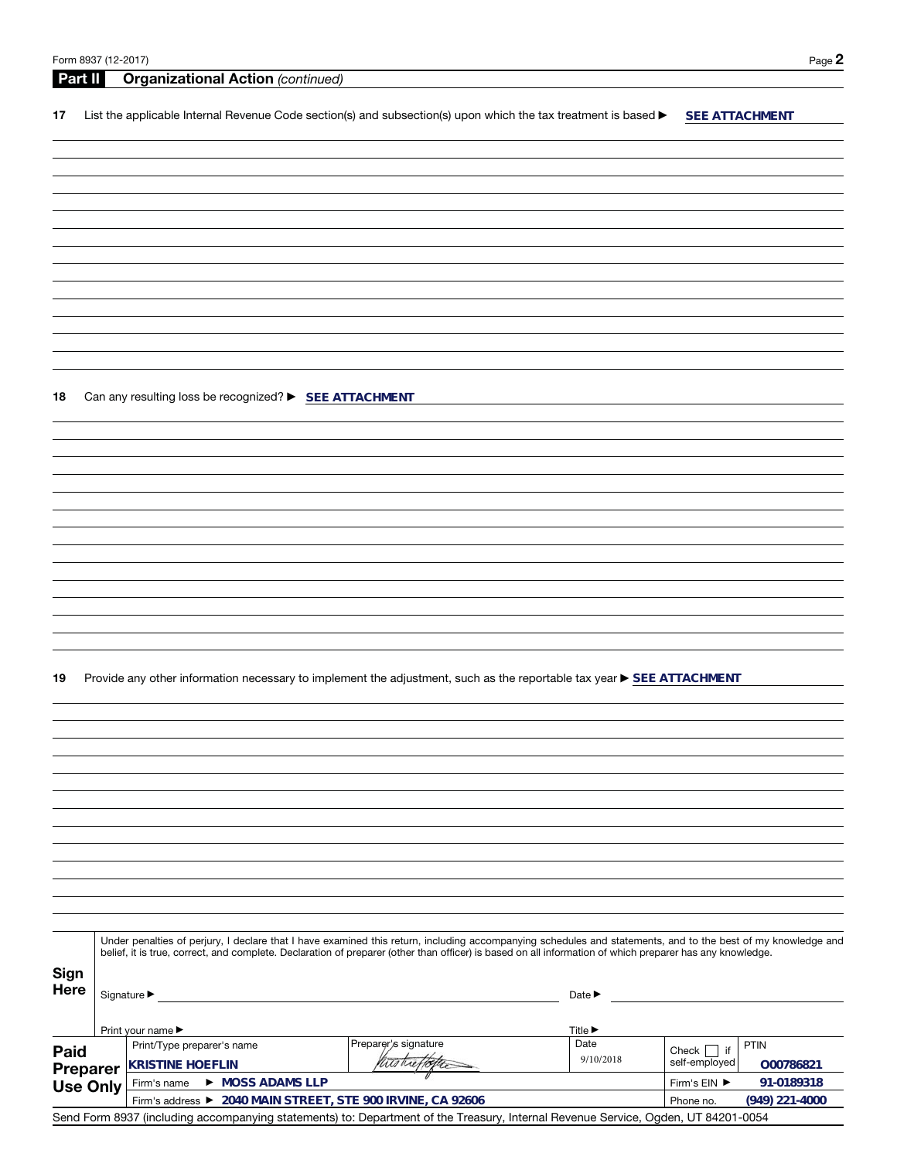Phone no.

**(949) 221-4000**

| Part II         |                                                                                                                                                                                                                                                                                                                          | <b>Organizational Action (continued)</b>               |                                                                                                                       |                                     |                            |  |  |
|-----------------|--------------------------------------------------------------------------------------------------------------------------------------------------------------------------------------------------------------------------------------------------------------------------------------------------------------------------|--------------------------------------------------------|-----------------------------------------------------------------------------------------------------------------------|-------------------------------------|----------------------------|--|--|
| 17              |                                                                                                                                                                                                                                                                                                                          |                                                        | List the applicable Internal Revenue Code section(s) and subsection(s) upon which the tax treatment is based >        |                                     | SEE ATTACHMENT             |  |  |
|                 |                                                                                                                                                                                                                                                                                                                          |                                                        |                                                                                                                       |                                     |                            |  |  |
|                 |                                                                                                                                                                                                                                                                                                                          |                                                        |                                                                                                                       |                                     |                            |  |  |
|                 |                                                                                                                                                                                                                                                                                                                          |                                                        |                                                                                                                       |                                     |                            |  |  |
|                 |                                                                                                                                                                                                                                                                                                                          |                                                        |                                                                                                                       |                                     |                            |  |  |
|                 |                                                                                                                                                                                                                                                                                                                          |                                                        |                                                                                                                       |                                     |                            |  |  |
|                 |                                                                                                                                                                                                                                                                                                                          |                                                        |                                                                                                                       |                                     |                            |  |  |
|                 |                                                                                                                                                                                                                                                                                                                          |                                                        |                                                                                                                       |                                     |                            |  |  |
|                 |                                                                                                                                                                                                                                                                                                                          |                                                        |                                                                                                                       |                                     |                            |  |  |
|                 |                                                                                                                                                                                                                                                                                                                          |                                                        |                                                                                                                       |                                     |                            |  |  |
|                 |                                                                                                                                                                                                                                                                                                                          |                                                        |                                                                                                                       |                                     |                            |  |  |
|                 |                                                                                                                                                                                                                                                                                                                          |                                                        |                                                                                                                       |                                     |                            |  |  |
| 18              |                                                                                                                                                                                                                                                                                                                          | Can any resulting loss be recognized? > SEE ATTACHMENT |                                                                                                                       |                                     |                            |  |  |
|                 |                                                                                                                                                                                                                                                                                                                          |                                                        |                                                                                                                       |                                     |                            |  |  |
|                 |                                                                                                                                                                                                                                                                                                                          |                                                        |                                                                                                                       |                                     |                            |  |  |
|                 |                                                                                                                                                                                                                                                                                                                          |                                                        |                                                                                                                       |                                     |                            |  |  |
|                 |                                                                                                                                                                                                                                                                                                                          |                                                        |                                                                                                                       |                                     |                            |  |  |
|                 |                                                                                                                                                                                                                                                                                                                          |                                                        |                                                                                                                       |                                     |                            |  |  |
|                 |                                                                                                                                                                                                                                                                                                                          |                                                        |                                                                                                                       |                                     |                            |  |  |
|                 |                                                                                                                                                                                                                                                                                                                          |                                                        |                                                                                                                       |                                     |                            |  |  |
|                 |                                                                                                                                                                                                                                                                                                                          |                                                        |                                                                                                                       |                                     |                            |  |  |
|                 |                                                                                                                                                                                                                                                                                                                          |                                                        |                                                                                                                       |                                     |                            |  |  |
|                 |                                                                                                                                                                                                                                                                                                                          |                                                        |                                                                                                                       |                                     |                            |  |  |
|                 |                                                                                                                                                                                                                                                                                                                          |                                                        |                                                                                                                       |                                     |                            |  |  |
| 19              |                                                                                                                                                                                                                                                                                                                          |                                                        | Provide any other information necessary to implement the adjustment, such as the reportable tax year ▶ SEE ATTACHMENT |                                     |                            |  |  |
|                 |                                                                                                                                                                                                                                                                                                                          |                                                        |                                                                                                                       |                                     |                            |  |  |
|                 |                                                                                                                                                                                                                                                                                                                          |                                                        |                                                                                                                       |                                     |                            |  |  |
|                 |                                                                                                                                                                                                                                                                                                                          |                                                        |                                                                                                                       |                                     |                            |  |  |
|                 |                                                                                                                                                                                                                                                                                                                          |                                                        |                                                                                                                       |                                     |                            |  |  |
|                 |                                                                                                                                                                                                                                                                                                                          |                                                        |                                                                                                                       |                                     |                            |  |  |
|                 |                                                                                                                                                                                                                                                                                                                          |                                                        |                                                                                                                       |                                     |                            |  |  |
|                 |                                                                                                                                                                                                                                                                                                                          |                                                        |                                                                                                                       |                                     |                            |  |  |
|                 |                                                                                                                                                                                                                                                                                                                          |                                                        |                                                                                                                       |                                     |                            |  |  |
|                 |                                                                                                                                                                                                                                                                                                                          |                                                        |                                                                                                                       |                                     |                            |  |  |
|                 |                                                                                                                                                                                                                                                                                                                          |                                                        |                                                                                                                       |                                     |                            |  |  |
|                 |                                                                                                                                                                                                                                                                                                                          |                                                        |                                                                                                                       |                                     |                            |  |  |
|                 | Under penalties of perjury, I declare that I have examined this return, including accompanying schedules and statements, and to the best of my knowledge and<br>belief, it is true, correct, and complete. Declaration of preparer (other than officer) is based on all information of which preparer has any knowledge. |                                                        |                                                                                                                       |                                     |                            |  |  |
| <b>Sign</b>     |                                                                                                                                                                                                                                                                                                                          |                                                        |                                                                                                                       |                                     |                            |  |  |
| Here            | Date $\blacktriangleright$                                                                                                                                                                                                                                                                                               |                                                        |                                                                                                                       |                                     |                            |  |  |
|                 |                                                                                                                                                                                                                                                                                                                          |                                                        |                                                                                                                       |                                     |                            |  |  |
| Paid            |                                                                                                                                                                                                                                                                                                                          | Print your name ▶<br>Print/Type preparer's name        | Preparer's signature                                                                                                  | Title $\blacktriangleright$<br>Date | PTIN<br>Check $\Box$ if    |  |  |
|                 | Preparer                                                                                                                                                                                                                                                                                                                 | <b>KRISTINE HOEFLIN</b>                                | wishet to                                                                                                             | 9/10/2018                           | self-employed<br>O00786821 |  |  |
| <b>Use Only</b> |                                                                                                                                                                                                                                                                                                                          | Firm's name > MOSS ADAMS LLP                           |                                                                                                                       |                                     | 91-0189318<br>Firm's EIN ▶ |  |  |

Firm's address a **2040 MAIN STREET, STE 900 IRVINE, CA 92606**

Send Form 8937 (including accompanying statements) to: Department of the Treasury, Internal Revenue Service, Ogden, UT 84201-0054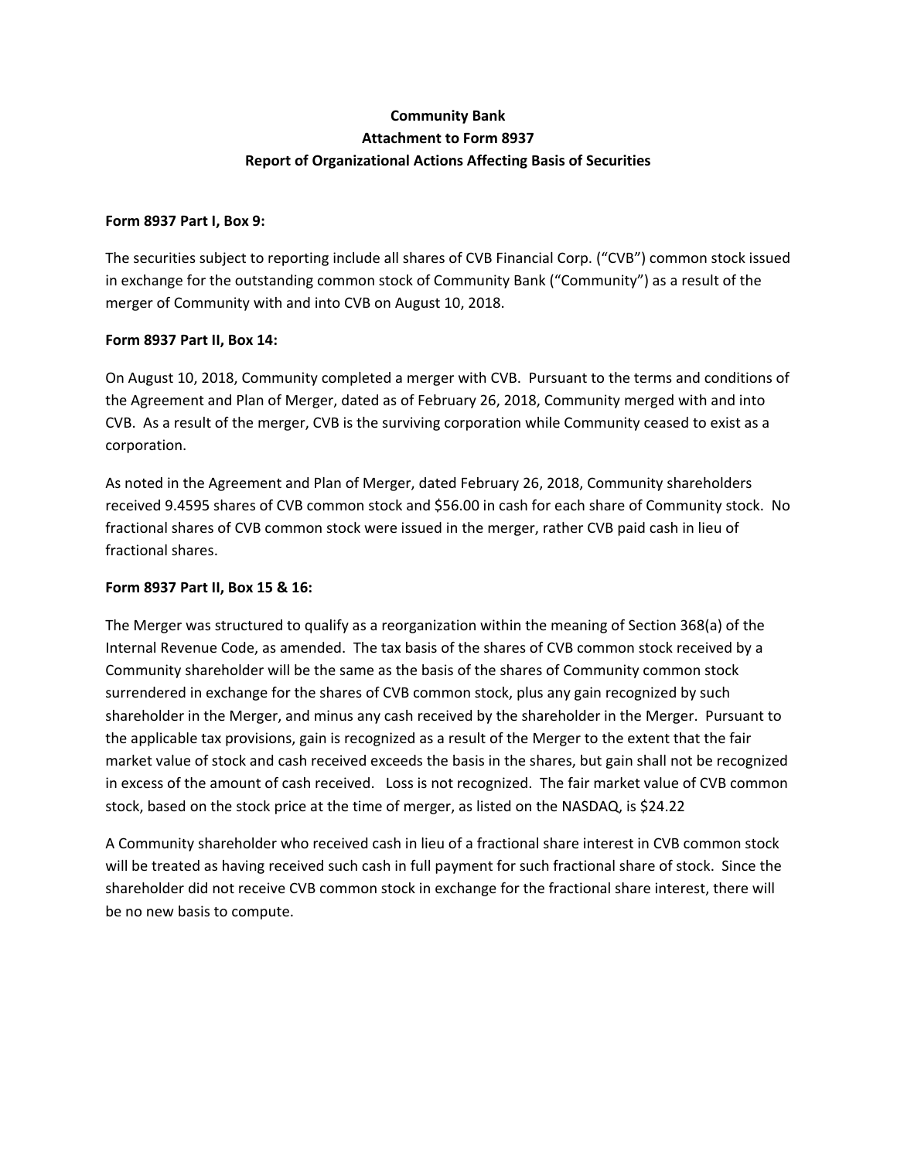# **Community Bank Attachment to Form 8937 Report of Organizational Actions Affecting Basis of Securities**

### **Form 8937 Part I, Box 9:**

The securities subject to reporting include all shares of CVB Financial Corp. ("CVB") common stock issued in exchange for the outstanding common stock of Community Bank ("Community") as a result of the merger of Community with and into CVB on August 10, 2018.

### **Form 8937 Part II, Box 14:**

On August 10, 2018, Community completed a merger with CVB. Pursuant to the terms and conditions of the Agreement and Plan of Merger, dated as of February 26, 2018, Community merged with and into CVB. As a result of the merger, CVB is the surviving corporation while Community ceased to exist as a corporation.

As noted in the Agreement and Plan of Merger, dated February 26, 2018, Community shareholders received 9.4595 shares of CVB common stock and \$56.00 in cash for each share of Community stock. No fractional shares of CVB common stock were issued in the merger, rather CVB paid cash in lieu of fractional shares.

## **Form 8937 Part II, Box 15 & 16:**

The Merger was structured to qualify as a reorganization within the meaning of Section 368(a) of the Internal Revenue Code, as amended. The tax basis of the shares of CVB common stock received by a Community shareholder will be the same as the basis of the shares of Community common stock surrendered in exchange for the shares of CVB common stock, plus any gain recognized by such shareholder in the Merger, and minus any cash received by the shareholder in the Merger. Pursuant to the applicable tax provisions, gain is recognized as a result of the Merger to the extent that the fair market value of stock and cash received exceeds the basis in the shares, but gain shall not be recognized in excess of the amount of cash received. Loss is not recognized. The fair market value of CVB common stock, based on the stock price at the time of merger, as listed on the NASDAQ, is \$24.22

A Community shareholder who received cash in lieu of a fractional share interest in CVB common stock will be treated as having received such cash in full payment for such fractional share of stock. Since the shareholder did not receive CVB common stock in exchange for the fractional share interest, there will be no new basis to compute.